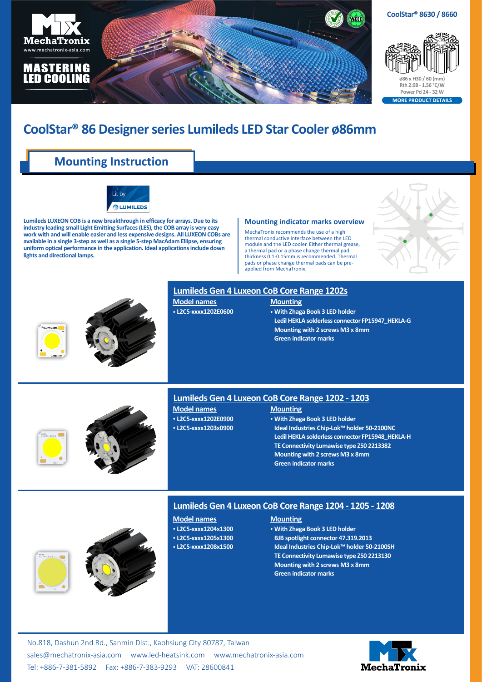

## **CoolStar® 86 Designer series Lumileds LED Star Cooler ø86mm**

### **Mounting Instruction**



**Lumileds LUXEON COB is a new breakthrough in efficacy for arrays. Due to its industry leading small Light Emitting Surfaces (LES), the COB array is very easy work with and will enable easier and less expensive designs. All LUXEON COBs are available in a single 3-step as well as a single 5-step MacAdam Ellipse, ensuring uniform optical performance in the application. Ideal applications include down lights and directional lamps.**

#### **Mounting indicator marks overview**

MechaTronix recommends the use of a high thermal conductive interface between the LED module and the LED cooler. Either thermal grease a thermal pad or a phase change thermal pad thickness 0.1-0.15mm is recommended. Thermal pads or phase change thermal pads can be preapplied from MechaTronix.





No.818, Dashun 2nd Rd., Sanmin Dist., Kaohsiung City 80787, Taiwan [sales@mechatronix-asia.com](mailto:sales%40mechatronix-asia.com?subject=) [www.led-heatsink.com](http://www.led-heatsink.com) [www.mechatronix-asia.com](http://www.mechatronix-asia.com) Tel: +886-7-381-5892 Fax: +886-7-383-9293 VAT: 28600841